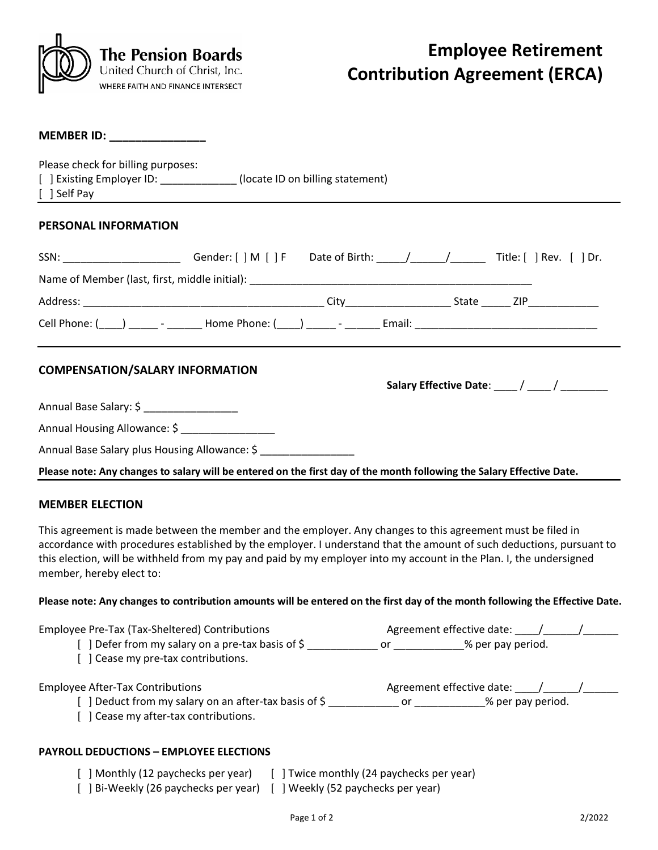

#### **MEMBER ID: \_\_\_\_\_\_\_\_\_\_\_\_\_\_\_**

Please check for billing purposes:

| [ ] Existing Employer ID: | (locate ID on billing statement) |
|---------------------------|----------------------------------|
|---------------------------|----------------------------------|

[ ] Self Pay

## **PERSONAL INFORMATION**

| SSN: ________________________Gender: [ ] M [ ] F Date of Birth: _____/______/_______Title: [ ] Rev. [ ] Dr.    |  |  |                                               |
|----------------------------------------------------------------------------------------------------------------|--|--|-----------------------------------------------|
|                                                                                                                |  |  |                                               |
|                                                                                                                |  |  |                                               |
| Cell Phone: ( ) _______ - ________ Home Phone: ( ) ______ - _______ Email: ___________________________________ |  |  |                                               |
| <b>COMPENSATION/SALARY INFORMATION</b>                                                                         |  |  | Salary Effective Date: ____/ ____/ __________ |

Annual Base Salary: \$

Annual Housing Allowance: \$ \_\_\_\_\_\_\_\_\_\_\_\_\_\_\_\_

Annual Base Salary plus Housing Allowance: \$

**Please note: Any changes to salary will be entered on the first day of the month following the Salary Effective Date.**

## **MEMBER ELECTION**

This agreement is made between the member and the employer. Any changes to this agreement must be filed in accordance with procedures established by the employer. I understand that the amount of such deductions, pursuant to this election, will be withheld from my pay and paid by my employer into my account in the Plan. I, the undersigned member, hereby elect to:

### **Please note: Any changes to contribution amounts will be entered on the first day of the month following the Effective Date.**

| Employee Pre-Tax (Tax-Sheltered) Contributions<br>] Defer from my salary on a pre-tax basis of \$<br>[ ] Cease my pre-tax contributions. | Agreement effective date:<br>% per pay period.<br>or                                                                                                                                                                                                                                |  |  |  |  |  |
|------------------------------------------------------------------------------------------------------------------------------------------|-------------------------------------------------------------------------------------------------------------------------------------------------------------------------------------------------------------------------------------------------------------------------------------|--|--|--|--|--|
| <b>Employee After-Tax Contributions</b><br>] Deduct from my salary on an after-tax basis of \$                                           | Agreement effective date:<br>% per pay period.<br>or the control of the control of the control of the control of the control of the control of the control of th<br>Separate control of the control of the control of the control of the control of the control of the control of t |  |  |  |  |  |
| [ ] Cease my after-tax contributions.                                                                                                    |                                                                                                                                                                                                                                                                                     |  |  |  |  |  |
|                                                                                                                                          |                                                                                                                                                                                                                                                                                     |  |  |  |  |  |

### **PAYROLL DEDUCTIONS – EMPLOYEE ELECTIONS**

- [ ] Monthly (12 paychecks per year) [ ] Twice monthly (24 paychecks per year) [ ] Bi-Weekly (26 paychecks per year) [ ] Weekly (52 paychecks per year)
	-